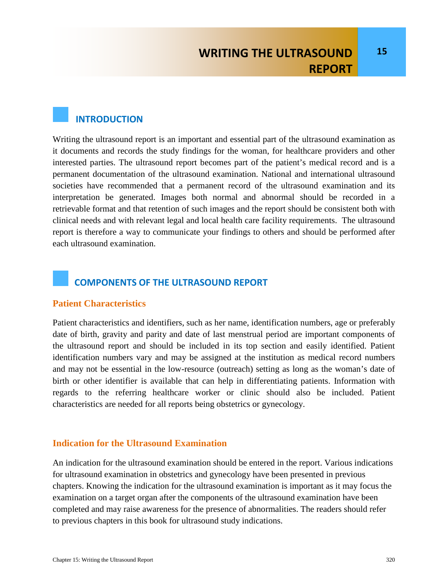**15**

# **INTRODUCTION**

Writing the ultrasound report is an important and essential part of the ultrasound examination as it documents and records the study findings for the woman, for healthcare providers and other interested parties. The ultrasound report becomes part of the patient's medical record and is a permanent documentation of the ultrasound examination. National and international ultrasound societies have recommended that a permanent record of the ultrasound examination and its interpretation be generated. Images both normal and abnormal should be recorded in a retrievable format and that retention of such images and the report should be consistent both with clinical needs and with relevant legal and local health care facility requirements. The ultrasound report is therefore a way to communicate your findings to others and should be performed after each ultrasound examination.

# **COMPONENTS OF THE ULTRASOUND REPORT**

#### **Patient Characteristics**

Patient characteristics and identifiers, such as her name, identification numbers, age or preferably date of birth, gravity and parity and date of last menstrual period are important components of the ultrasound report and should be included in its top section and easily identified. Patient identification numbers vary and may be assigned at the institution as medical record numbers and may not be essential in the low-resource (outreach) setting as long as the woman's date of birth or other identifier is available that can help in differentiating patients. Information with regards to the referring healthcare worker or clinic should also be included. Patient characteristics are needed for all reports being obstetrics or gynecology.

## **Indication for the Ultrasound Examination**

An indication for the ultrasound examination should be entered in the report. Various indications for ultrasound examination in obstetrics and gynecology have been presented in previous chapters. Knowing the indication for the ultrasound examination is important as it may focus the examination on a target organ after the components of the ultrasound examination have been completed and may raise awareness for the presence of abnormalities. The readers should refer to previous chapters in this book for ultrasound study indications.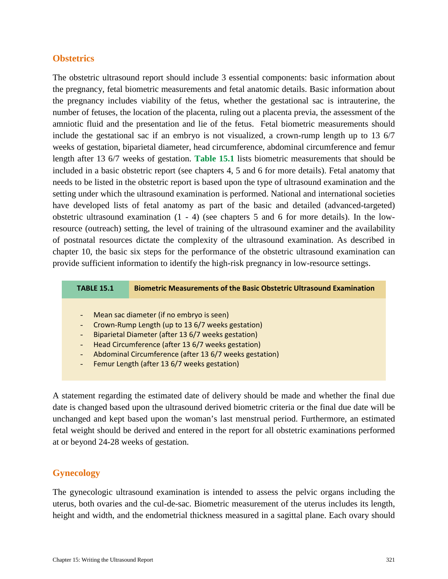## **Obstetrics**

The obstetric ultrasound report should include 3 essential components: basic information about the pregnancy, fetal biometric measurements and fetal anatomic details. Basic information about the pregnancy includes viability of the fetus, whether the gestational sac is intrauterine, the number of fetuses, the location of the placenta, ruling out a placenta previa, the assessment of the amniotic fluid and the presentation and lie of the fetus. Fetal biometric measurements should include the gestational sac if an embryo is not visualized, a crown-rump length up to 13 6/7 weeks of gestation, biparietal diameter, head circumference, abdominal circumference and femur length after 13 6/7 weeks of gestation. **Table 15.1** lists biometric measurements that should be included in a basic obstetric report (see chapters 4, 5 and 6 for more details). Fetal anatomy that needs to be listed in the obstetric report is based upon the type of ultrasound examination and the setting under which the ultrasound examination is performed. National and international societies have developed lists of fetal anatomy as part of the basic and detailed (advanced-targeted) obstetric ultrasound examination (1 - 4) (see chapters 5 and 6 for more details). In the lowresource (outreach) setting, the level of training of the ultrasound examiner and the availability of postnatal resources dictate the complexity of the ultrasound examination. As described in chapter 10, the basic six steps for the performance of the obstetric ultrasound examination can provide sufficient information to identify the high-risk pregnancy in low-resource settings.

| <b>TABLE 15.1</b>                                                                                          | <b>Biometric Measurements of the Basic Obstetric Ultrasound Examination</b>                                                                                                                                                                                                                                        |
|------------------------------------------------------------------------------------------------------------|--------------------------------------------------------------------------------------------------------------------------------------------------------------------------------------------------------------------------------------------------------------------------------------------------------------------|
| $\overline{\phantom{a}}$<br>٠<br>$\overline{\phantom{a}}$<br>$\overline{\phantom{a}}$<br>$\qquad \qquad -$ | Mean sac diameter (if no embryo is seen)<br>Crown-Rump Length (up to 13 6/7 weeks gestation)<br>Biparietal Diameter (after 13 6/7 weeks gestation)<br>Head Circumference (after 13 6/7 weeks gestation)<br>Abdominal Circumference (after 13 6/7 weeks gestation)<br>- Femur Length (after 13 6/7 weeks gestation) |

A statement regarding the estimated date of delivery should be made and whether the final due date is changed based upon the ultrasound derived biometric criteria or the final due date will be unchanged and kept based upon the woman's last menstrual period. Furthermore, an estimated fetal weight should be derived and entered in the report for all obstetric examinations performed at or beyond 24-28 weeks of gestation.

## **Gynecology**

The gynecologic ultrasound examination is intended to assess the pelvic organs including the uterus, both ovaries and the cul-de-sac. Biometric measurement of the uterus includes its length, height and width, and the endometrial thickness measured in a sagittal plane. Each ovary should